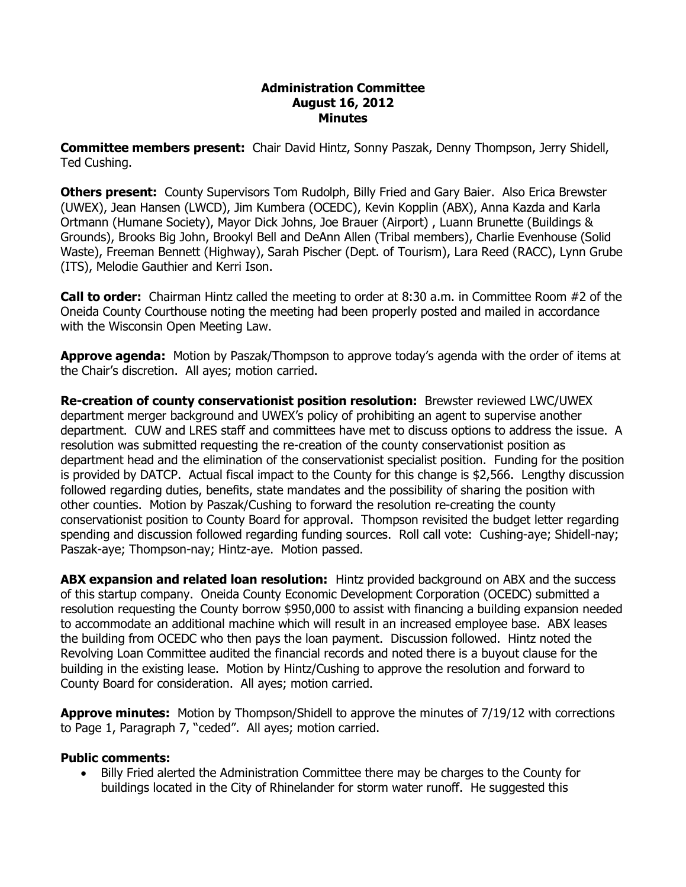#### **Administration Committee August 16, 2012 Minutes**

**Committee members present:**  Chair David Hintz, Sonny Paszak, Denny Thompson, Jerry Shidell, Ted Cushing.

**Others present:**  County Supervisors Tom Rudolph, Billy Fried and Gary Baier. Also Erica Brewster (UWEX), Jean Hansen (LWCD), Jim Kumbera (OCEDC), Kevin Kopplin (ABX), Anna Kazda and Karla Ortmann (Humane Society), Mayor Dick Johns, Joe Brauer (Airport) , Luann Brunette (Buildings & Grounds), Brooks Big John, Brookyl Bell and DeAnn Allen (Tribal members), Charlie Evenhouse (Solid Waste), Freeman Bennett (Highway), Sarah Pischer (Dept. of Tourism), Lara Reed (RACC), Lynn Grube (ITS), Melodie Gauthier and Kerri Ison.

**Call to order:**  Chairman Hintz called the meeting to order at 8:30 a.m. in Committee Room #2 of the Oneida County Courthouse noting the meeting had been properly posted and mailed in accordance with the Wisconsin Open Meeting Law.

**Approve agenda:** Motion by Paszak/Thompson to approve today's agenda with the order of items at the Chair's discretion. All ayes; motion carried.

**Re-creation of county conservationist position resolution:** Brewster reviewed LWC/UWEX department merger background and UWEX's policy of prohibiting an agent to supervise another department. CUW and LRES staff and committees have met to discuss options to address the issue. A resolution was submitted requesting the re-creation of the county conservationist position as department head and the elimination of the conservationist specialist position. Funding for the position is provided by DATCP. Actual fiscal impact to the County for this change is \$2,566. Lengthy discussion followed regarding duties, benefits, state mandates and the possibility of sharing the position with other counties. Motion by Paszak/Cushing to forward the resolution recreating the county conservationist position to County Board for approval. Thompson revisited the budget letter regarding spending and discussion followed regarding funding sources. Roll call vote: Cushing-aye; Shidell-nay; Paszak-aye; Thompson-nay; Hintz-aye. Motion passed.

**ABX expansion and related loan resolution:** Hintz provided background on ABX and the success of this startup company. Oneida County Economic Development Corporation (OCEDC) submitted a resolution requesting the County borrow \$950,000 to assist with financing a building expansion needed to accommodate an additional machine which will result in an increased employee base. ABX leases the building from OCEDC who then pays the loan payment. Discussion followed. Hintz noted the Revolving Loan Committee audited the financial records and noted there is a buyout clause for the building in the existing lease. Motion by Hintz/Cushing to approve the resolution and forward to County Board for consideration. All ayes; motion carried.

**Approve minutes:** Motion by Thompson/Shidell to approve the minutes of 7/19/12 with corrections to Page 1, Paragraph 7, "ceded". All ayes; motion carried.

### **Public comments:**

· Billy Fried alerted the Administration Committee there may be charges to the County for buildings located in the City of Rhinelander for storm water runoff. He suggested this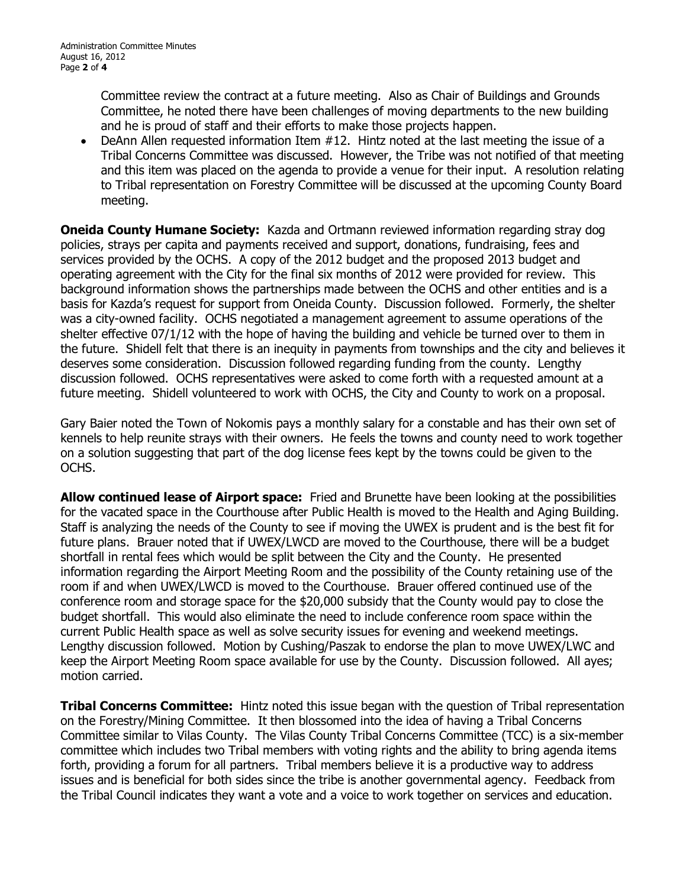Committee review the contract at a future meeting. Also as Chair of Buildings and Grounds Committee, he noted there have been challenges of moving departments to the new building and he is proud of staff and their efforts to make those projects happen.

DeAnn Allen requested information Item  $#12$ . Hintz noted at the last meeting the issue of a Tribal Concerns Committee was discussed. However, the Tribe was not notified of that meeting and this item was placed on the agenda to provide a venue for their input. A resolution relating to Tribal representation on Forestry Committee will be discussed at the upcoming County Board meeting.

**Oneida County Humane Society:** Kazda and Ortmann reviewed information regarding stray dog policies, strays per capita and payments received and support, donations, fundraising, fees and services provided by the OCHS. A copy of the 2012 budget and the proposed 2013 budget and operating agreement with the City for the final six months of 2012 were provided for review. This background information shows the partnerships made between the OCHS and other entities and is a basis for Kazda's request for support from Oneida County. Discussion followed. Formerly, the shelter was a city-owned facility. OCHS negotiated a management agreement to assume operations of the shelter effective 07/1/12 with the hope of having the building and vehicle be turned over to them in the future. Shidell felt that there is an inequity in payments from townships and the city and believes it deserves some consideration. Discussion followed regarding funding from the county. Lengthy discussion followed. OCHS representatives were asked to come forth with a requested amount at a future meeting. Shidell volunteered to work with OCHS, the City and County to work on a proposal.

Gary Baier noted the Town of Nokomis pays a monthly salary for a constable and has their own set of kennels to help reunite strays with their owners. He feels the towns and county need to work together on a solution suggesting that part of the dog license fees kept by the towns could be given to the OCHS.

**Allow continued lease of Airport space:** Fried and Brunette have been looking at the possibilities for the vacated space in the Courthouse after Public Health is moved to the Health and Aging Building. Staff is analyzing the needs of the County to see if moving the UWEX is prudent and is the best fit for future plans. Brauer noted that if UWEX/LWCD are moved to the Courthouse, there will be a budget shortfall in rental fees which would be split between the City and the County. He presented information regarding the Airport Meeting Room and the possibility of the County retaining use of the room if and when UWEX/LWCD is moved to the Courthouse. Brauer offered continued use of the conference room and storage space for the \$20,000 subsidy that the County would pay to close the budget shortfall. This would also eliminate the need to include conference room space within the current Public Health space as well as solve security issues for evening and weekend meetings. Lengthy discussion followed. Motion by Cushing/Paszak to endorse the plan to move UWEX/LWC and keep the Airport Meeting Room space available for use by the County. Discussion followed. All ayes; motion carried.

**Tribal Concerns Committee:** Hintz noted this issue began with the question of Tribal representation on the Forestry/Mining Committee. It then blossomed into the idea of having a Tribal Concerns Committee similar to Vilas County. The Vilas County Tribal Concerns Committee (TCC) is a six-member committee which includes two Tribal members with voting rights and the ability to bring agenda items forth, providing a forum for all partners. Tribal members believe it is a productive way to address issues and is beneficial for both sides since the tribe is another governmental agency. Feedback from the Tribal Council indicates they want a vote and a voice to work together on services and education.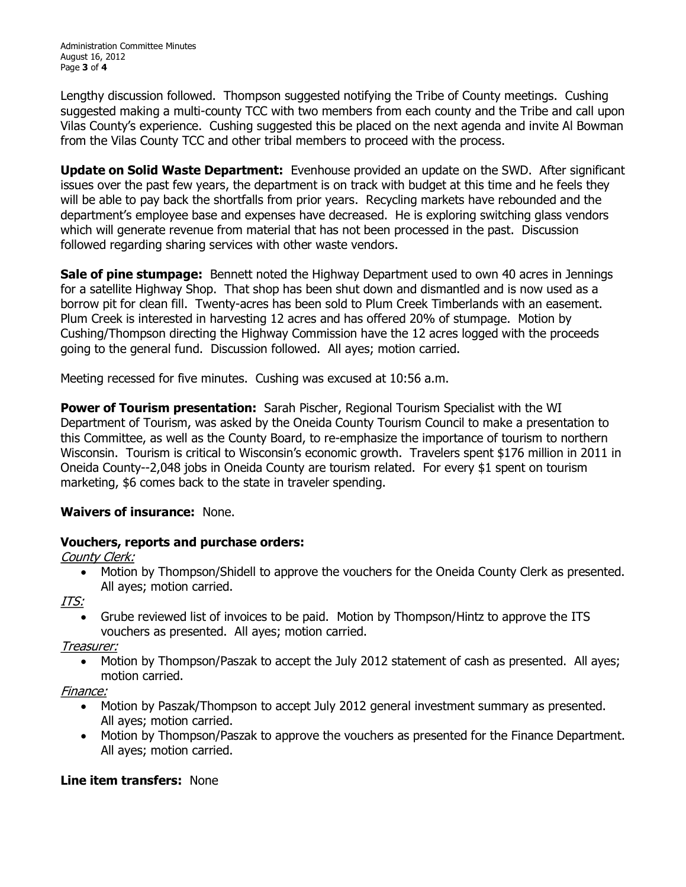Lengthy discussion followed. Thompson suggested notifying the Tribe of County meetings. Cushing suggested making a multi-county TCC with two members from each county and the Tribe and call upon Vilas County's experience. Cushing suggested this be placed on the next agenda and invite Al Bowman from the Vilas County TCC and other tribal members to proceed with the process.

**Update on Solid Waste Department:**  Evenhouse provided an update on the SWD. After significant issues over the past few years, the department is on track with budget at this time and he feels they will be able to pay back the shortfalls from prior years. Recycling markets have rebounded and the department's employee base and expenses have decreased. He is exploring switching glass vendors which will generate revenue from material that has not been processed in the past. Discussion followed regarding sharing services with other waste vendors.

**Sale of pine stumpage:**  Bennett noted the Highway Department used to own 40 acres in Jennings for a satellite Highway Shop. That shop has been shut down and dismantled and is now used as a borrow pit for clean fill. Twenty-acres has been sold to Plum Creek Timberlands with an easement. Plum Creek is interested in harvesting 12 acres and has offered 20% of stumpage. Motion by Cushing/Thompson directing the Highway Commission have the 12 acres logged with the proceeds going to the general fund. Discussion followed. All ayes; motion carried.

Meeting recessed for five minutes. Cushing was excused at 10:56 a.m.

**Power of Tourism presentation:** Sarah Pischer, Regional Tourism Specialist with the WI Department of Tourism, was asked by the Oneida County Tourism Council to make a presentation to this Committee, as well as the County Board, to re-emphasize the importance of tourism to northern Wisconsin. Tourism is critical to Wisconsin's economic growth. Travelers spent \$176 million in 2011 in Oneida County--2,048 jobs in Oneida County are tourism related. For every \$1 spent on tourism marketing, \$6 comes back to the state in traveler spending.

# **Waivers of insurance:** None.

# **Vouchers, reports and purchase orders:**

County Clerk:

· Motion by Thompson/Shidell to approve the vouchers for the Oneida County Clerk as presented. All ayes; motion carried.

ITS:

· Grube reviewed list of invoices to be paid. Motion by Thompson/Hintz to approve the ITS vouchers as presented. All ayes; motion carried.

Treasurer:

· Motion by Thompson/Paszak to accept the July 2012 statement of cash as presented. All ayes; motion carried.

Finance:

- · Motion by Paszak/Thompson to accept July 2012 general investment summary as presented. All ayes; motion carried.
- · Motion by Thompson/Paszak to approve the vouchers as presented for the Finance Department. All ayes; motion carried.

# **Line item transfers:** None